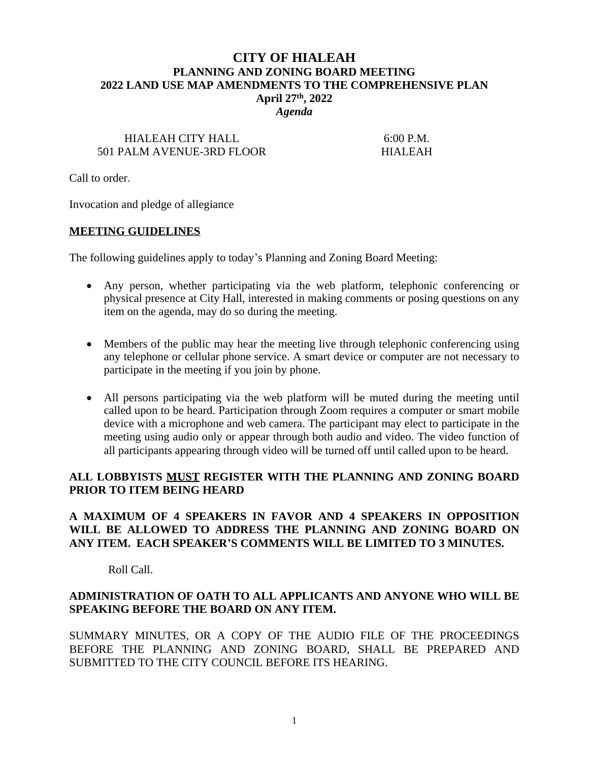# **CITY OF HIALEAH PLANNING AND ZONING BOARD MEETING 2022 LAND USE MAP AMENDMENTS TO THE COMPREHENSIVE PLAN April 27th, 2022** *Agenda*

# HIALEAH CITY HALL 6:00 P.M. 501 PALM AVENUE-3RD FLOOR HIALEAH

Call to order.

Invocation and pledge of allegiance

#### **MEETING GUIDELINES**

The following guidelines apply to today's Planning and Zoning Board Meeting:

- Any person, whether participating via the web platform, telephonic conferencing or physical presence at City Hall, interested in making comments or posing questions on any item on the agenda, may do so during the meeting.
- Members of the public may hear the meeting live through telephonic conferencing using any telephone or cellular phone service. A smart device or computer are not necessary to participate in the meeting if you join by phone.
- All persons participating via the web platform will be muted during the meeting until called upon to be heard. Participation through Zoom requires a computer or smart mobile device with a microphone and web camera. The participant may elect to participate in the meeting using audio only or appear through both audio and video. The video function of all participants appearing through video will be turned off until called upon to be heard.

## **ALL LOBBYISTS MUST REGISTER WITH THE PLANNING AND ZONING BOARD PRIOR TO ITEM BEING HEARD**

# **A MAXIMUM OF 4 SPEAKERS IN FAVOR AND 4 SPEAKERS IN OPPOSITION WILL BE ALLOWED TO ADDRESS THE PLANNING AND ZONING BOARD ON ANY ITEM. EACH SPEAKER'S COMMENTS WILL BE LIMITED TO 3 MINUTES.**

Roll Call.

## **ADMINISTRATION OF OATH TO ALL APPLICANTS AND ANYONE WHO WILL BE SPEAKING BEFORE THE BOARD ON ANY ITEM.**

SUMMARY MINUTES, OR A COPY OF THE AUDIO FILE OF THE PROCEEDINGS BEFORE THE PLANNING AND ZONING BOARD, SHALL BE PREPARED AND SUBMITTED TO THE CITY COUNCIL BEFORE ITS HEARING.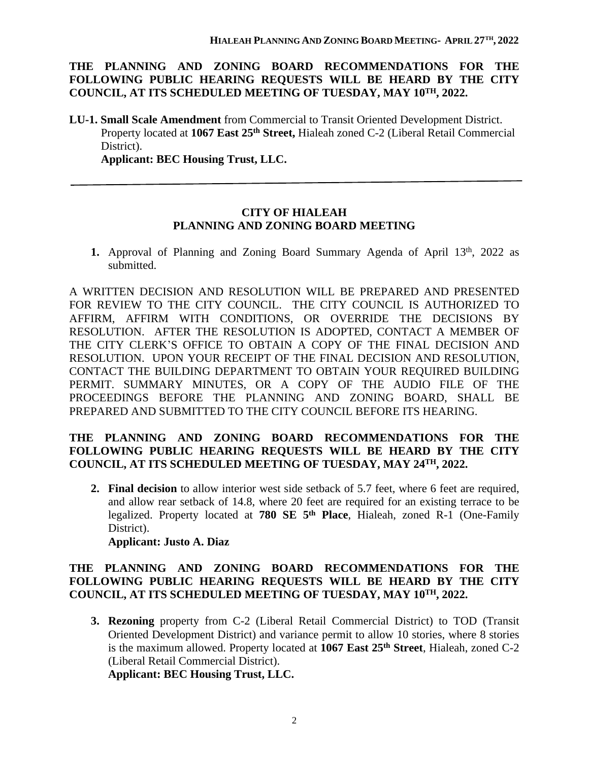## **THE PLANNING AND ZONING BOARD RECOMMENDATIONS FOR THE FOLLOWING PUBLIC HEARING REQUESTS WILL BE HEARD BY THE CITY COUNCIL, AT ITS SCHEDULED MEETING OF TUESDAY, MAY 10TH, 2022.**

**LU-1. Small Scale Amendment** from Commercial to Transit Oriented Development District. Property located at **1067 East 25th Street,** Hialeah zoned C-2 (Liberal Retail Commercial District).

**Applicant: BEC Housing Trust, LLC.**

## **CITY OF HIALEAH PLANNING AND ZONING BOARD MEETING**

1. Approval of Planning and Zoning Board Summary Agenda of April 13<sup>th</sup>, 2022 as submitted.

A WRITTEN DECISION AND RESOLUTION WILL BE PREPARED AND PRESENTED FOR REVIEW TO THE CITY COUNCIL. THE CITY COUNCIL IS AUTHORIZED TO AFFIRM, AFFIRM WITH CONDITIONS, OR OVERRIDE THE DECISIONS BY RESOLUTION. AFTER THE RESOLUTION IS ADOPTED, CONTACT A MEMBER OF THE CITY CLERK'S OFFICE TO OBTAIN A COPY OF THE FINAL DECISION AND RESOLUTION. UPON YOUR RECEIPT OF THE FINAL DECISION AND RESOLUTION, CONTACT THE BUILDING DEPARTMENT TO OBTAIN YOUR REQUIRED BUILDING PERMIT. SUMMARY MINUTES, OR A COPY OF THE AUDIO FILE OF THE PROCEEDINGS BEFORE THE PLANNING AND ZONING BOARD, SHALL BE PREPARED AND SUBMITTED TO THE CITY COUNCIL BEFORE ITS HEARING.

# **THE PLANNING AND ZONING BOARD RECOMMENDATIONS FOR THE FOLLOWING PUBLIC HEARING REQUESTS WILL BE HEARD BY THE CITY COUNCIL, AT ITS SCHEDULED MEETING OF TUESDAY, MAY 24TH, 2022.**

**2. Final decision** to allow interior west side setback of 5.7 feet, where 6 feet are required, and allow rear setback of 14.8, where 20 feet are required for an existing terrace to be legalized. Property located at **780 SE 5 th Place**, Hialeah, zoned R-1 (One-Family District).

#### **Applicant: Justo A. Diaz**

# **THE PLANNING AND ZONING BOARD RECOMMENDATIONS FOR THE FOLLOWING PUBLIC HEARING REQUESTS WILL BE HEARD BY THE CITY COUNCIL, AT ITS SCHEDULED MEETING OF TUESDAY, MAY 10TH, 2022.**

**3. Rezoning** property from C-2 (Liberal Retail Commercial District) to TOD (Transit Oriented Development District) and variance permit to allow 10 stories, where 8 stories is the maximum allowed. Property located at **1067 East 25th Street**, Hialeah, zoned C-2 (Liberal Retail Commercial District).

**Applicant: BEC Housing Trust, LLC.**